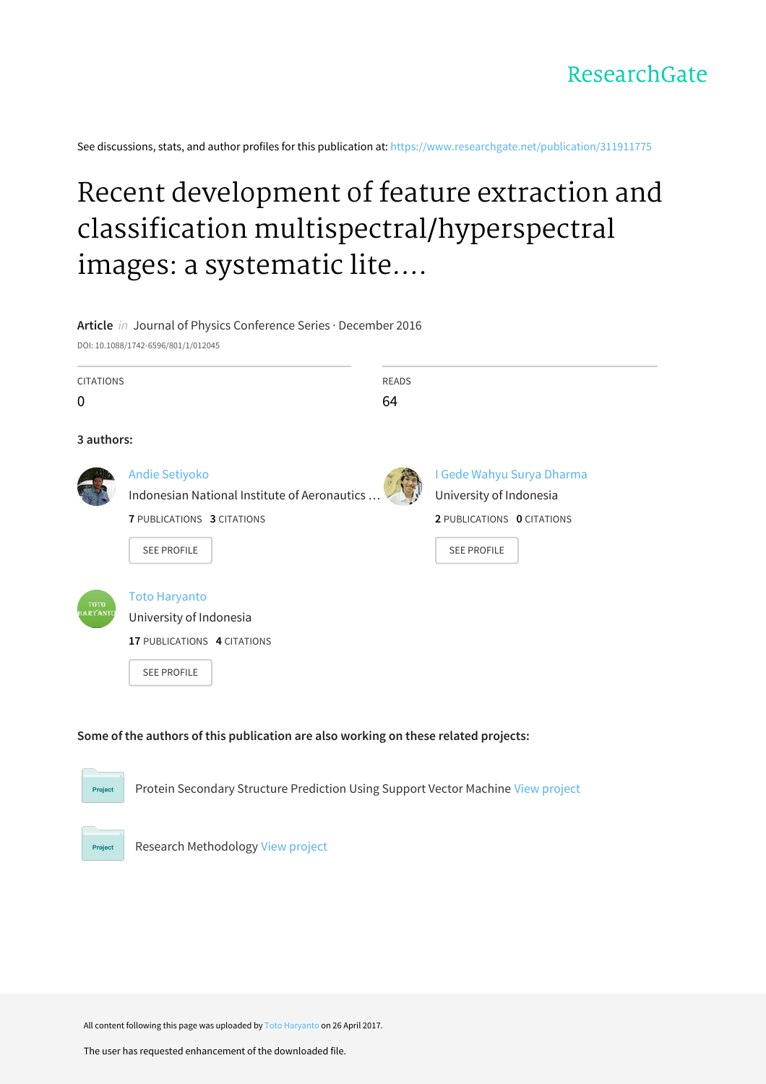See discussions, stats, and author profiles for this publication at: [https://www.researchgate.net/publication/311911775](https://www.researchgate.net/publication/311911775_Recent_development_of_feature_extraction_and_classification_multispectralhyperspectral_images_a_systematic_literature_review?enrichId=rgreq-5c6422ab822b8fa285e415fea05a8574-XXX&enrichSource=Y292ZXJQYWdlOzMxMTkxMTc3NTtBUzo0ODcyMjI4ODIzNzc3MjhAMTQ5MzE3NDM5NTI5OQ%3D%3D&el=1_x_2&_esc=publicationCoverPdf)

# Recent development of feature extraction and classification multispectral/hyperspectral images: a systematic lite....

# **Article** in Journal of Physics Conference Series · December 2016

DOI: 10.1088/1742-6596/801/1/012045

| <b>CITATIONS</b>                                                                                   |                                                                                                      | <b>READS</b> |                            |  |  |  |
|----------------------------------------------------------------------------------------------------|------------------------------------------------------------------------------------------------------|--------------|----------------------------|--|--|--|
| 0                                                                                                  |                                                                                                      | 64           |                            |  |  |  |
| 3 authors:                                                                                         |                                                                                                      |              |                            |  |  |  |
|                                                                                                    | <b>Andie Setiyoko</b>                                                                                |              | I Gede Wahyu Surya Dharma  |  |  |  |
|                                                                                                    | Indonesian National Institute of Aeronautics                                                         |              |                            |  |  |  |
|                                                                                                    | <b>7 PUBLICATIONS 3 CITATIONS</b>                                                                    |              | 2 PUBLICATIONS 0 CITATIONS |  |  |  |
|                                                                                                    | <b>SEE PROFILE</b>                                                                                   |              | <b>SEE PROFILE</b>         |  |  |  |
|                                                                                                    |                                                                                                      |              |                            |  |  |  |
| <b>TOTO</b><br><b>HARYANTO</b>                                                                     | <b>Toto Haryanto</b><br>University of Indonesia<br>17 PUBLICATIONS 4 CITATIONS<br><b>SEE PROFILE</b> |              |                            |  |  |  |
| Some of the authors of this publication are also working on these related projects:                |                                                                                                      |              |                            |  |  |  |
| Protein Secondary Structure Prediction Using Support Vector Machine View project<br><b>Project</b> |                                                                                                      |              |                            |  |  |  |

Research Methodology View [project](https://www.researchgate.net/project/Research-Methodology-43?enrichId=rgreq-5c6422ab822b8fa285e415fea05a8574-XXX&enrichSource=Y292ZXJQYWdlOzMxMTkxMTc3NTtBUzo0ODcyMjI4ODIzNzc3MjhAMTQ5MzE3NDM5NTI5OQ%3D%3D&el=1_x_9&_esc=publicationCoverPdf)

Project

All content following this page was uploaded by Toto [Haryanto](https://www.researchgate.net/profile/Toto_Haryanto2?enrichId=rgreq-5c6422ab822b8fa285e415fea05a8574-XXX&enrichSource=Y292ZXJQYWdlOzMxMTkxMTc3NTtBUzo0ODcyMjI4ODIzNzc3MjhAMTQ5MzE3NDM5NTI5OQ%3D%3D&el=1_x_10&_esc=publicationCoverPdf) on 26 April 2017.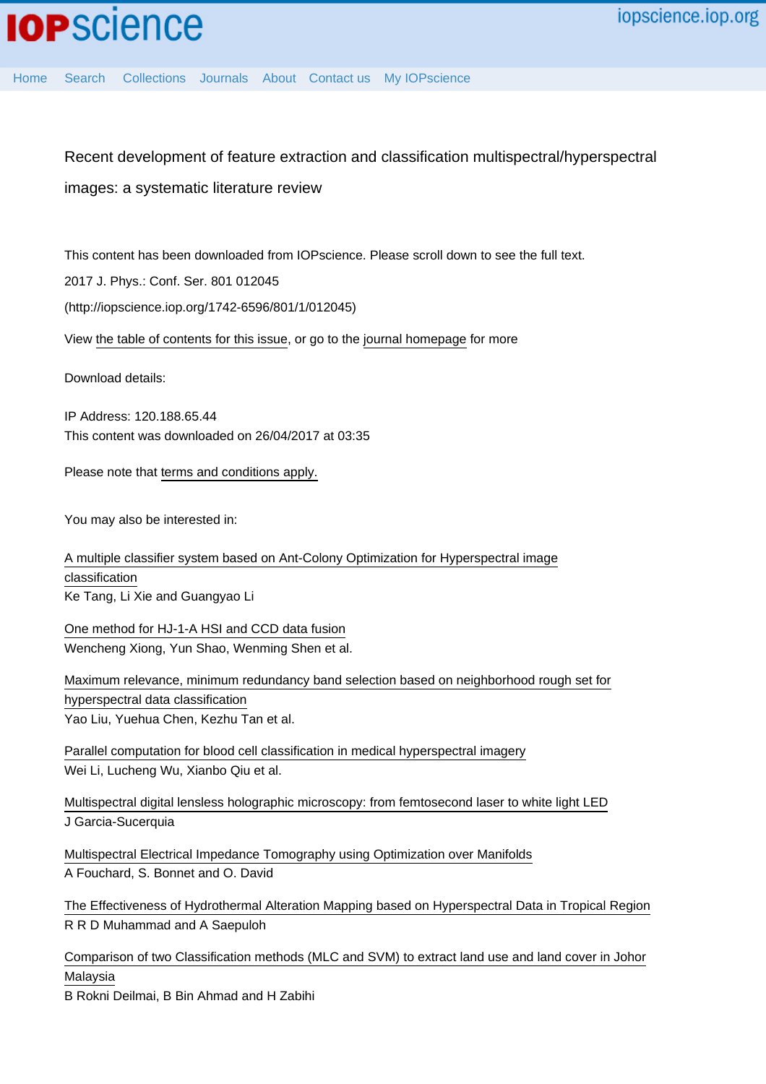[Home](http://iopscience.iop.org/) [Search](http://iopscience.iop.org/search) [Collections](http://iopscience.iop.org/collections) [Journals](http://iopscience.iop.org/journals) [About](http://iopscience.iop.org/page/aboutioppublishing) [Contact us](http://iopscience.iop.org/contact) [My IOPscience](http://iopscience.iop.org/myiopscience)

Recent development of feature extraction and classification multispectral/hyperspectral images: a systematic literature review

This content has been downloaded from IOPscience. Please scroll down to see the full text.

2017 J. Phys.: Conf. Ser. 801 012045

(http://iopscience.iop.org/1742-6596/801/1/012045)

View [the table of contents for this issue](http://iopscience.iop.org/1742-6596/801/1), or go to the [journal homepage](http://iopscience.iop.org/1742-6596) for more

Download details:

IP Address: 120.188.65.44 This content was downloaded on 26/04/2017 at 03:35

Please note that [terms and conditions apply.](http://iopscience.iop.org/page/terms)

You may also be interested in:

[A multiple classifier system based on Ant-Colony Optimization for Hyperspectral image](http://iopscience.iop.org/article/10.1088/1742-6596/787/1/012011) [classification](http://iopscience.iop.org/article/10.1088/1742-6596/787/1/012011) Ke Tang, Li Xie and Guangyao Li

[One method for HJ-1-A HSI and CCD data fusion](http://iopscience.iop.org/article/10.1088/1755-1315/17/1/012226) Wencheng Xiong, Yun Shao, Wenming Shen et al.

[Maximum relevance, minimum redundancy band selection based on neighborhood rough set for](http://iopscience.iop.org/article/10.1088/0957-0233/27/12/125501) [hyperspectral data classification](http://iopscience.iop.org/article/10.1088/0957-0233/27/12/125501) Yao Liu, Yuehua Chen, Kezhu Tan et al.

[Parallel computation for blood cell classification in medical hyperspectral imagery](http://iopscience.iop.org/article/10.1088/0957-0233/27/9/095102) Wei Li, Lucheng Wu, Xianbo Qiu et al.

[Multispectral digital lensless holographic microscopy: from femtosecond laser to white light LED](http://iopscience.iop.org/article/10.1088/1742-6596/605/1/012011) J Garcia-Sucerquia

[Multispectral Electrical Impedance Tomography using Optimization over Manifolds](http://iopscience.iop.org/article/10.1088/1742-6596/756/1/012005) A Fouchard, S. Bonnet and O. David

[The Effectiveness of Hydrothermal Alteration Mapping based on Hyperspectral Data in Tropical Region](http://iopscience.iop.org/article/10.1088/1755-1315/42/1/012005) R R D Muhammad and A Saepuloh

[Comparison of two Classification methods \(MLC and SVM\) to extract land use and land cover in Johor](http://iopscience.iop.org/article/10.1088/1755-1315/20/1/012052) [Malaysia](http://iopscience.iop.org/article/10.1088/1755-1315/20/1/012052)

B Rokni Deilmai, B Bin Ahmad and H Zabihi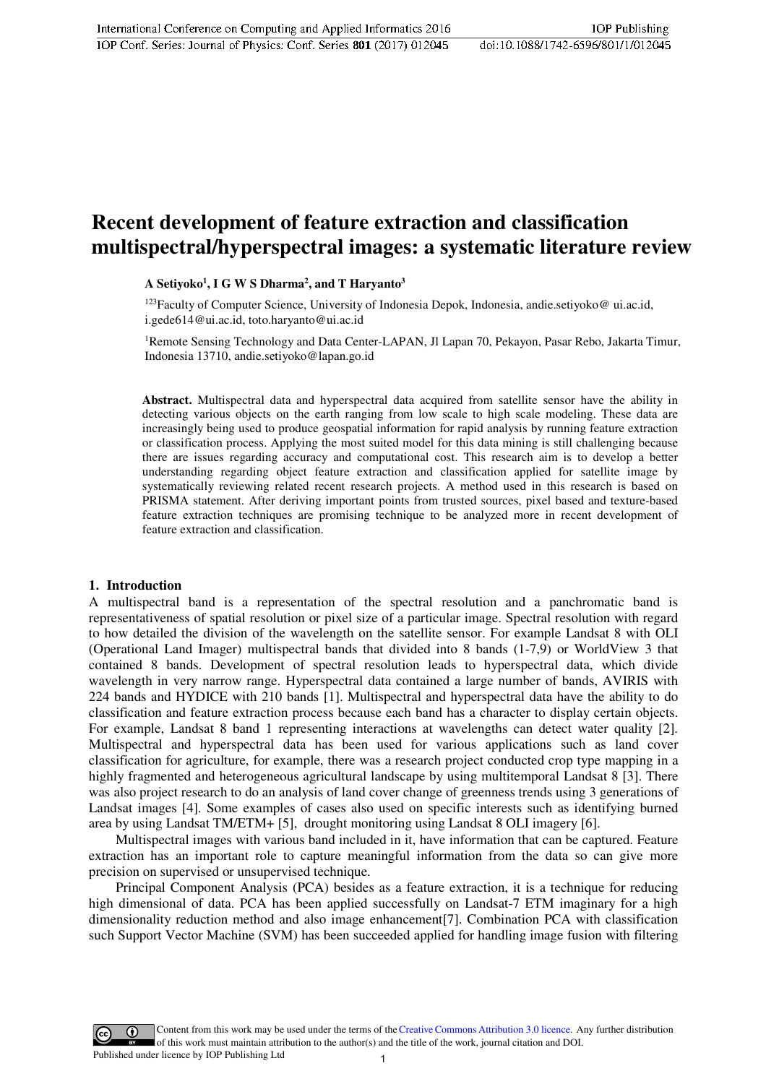## **Recent development of feature extraction and classification multispectral/hyperspectral images: a systematic literature review**

**A Setiyoko<sup>1</sup> , I G W S Dharma<sup>2</sup> , and T Haryanto<sup>3</sup>**

<sup>123</sup>Faculty of Computer Science, University of Indonesia Depok, Indonesia, andie.setiyoko@ ui.ac.id, i.gede614@ui.ac.id, toto.haryanto@ui.ac.id

<sup>1</sup>Remote Sensing Technology and Data Center-LAPAN, Jl Lapan 70, Pekayon, Pasar Rebo, Jakarta Timur, Indonesia 13710, andie.setiyoko@lapan.go.id

**Abstract.** Multispectral data and hyperspectral data acquired from satellite sensor have the ability in detecting various objects on the earth ranging from low scale to high scale modeling. These data are increasingly being used to produce geospatial information for rapid analysis by running feature extraction or classification process. Applying the most suited model for this data mining is still challenging because there are issues regarding accuracy and computational cost. This research aim is to develop a better understanding regarding object feature extraction and classification applied for satellite image by systematically reviewing related recent research projects. A method used in this research is based on PRISMA statement. After deriving important points from trusted sources, pixel based and texture-based feature extraction techniques are promising technique to be analyzed more in recent development of feature extraction and classification.

#### **1. Introduction**

A multispectral band is a representation of the spectral resolution and a panchromatic band is representativeness of spatial resolution or pixel size of a particular image. Spectral resolution with regard to how detailed the division of the wavelength on the satellite sensor. For example Landsat 8 with OLI (Operational Land Imager) multispectral bands that divided into 8 bands (1-7,9) or WorldView 3 that contained 8 bands. Development of spectral resolution leads to hyperspectral data, which divide wavelength in very narrow range. Hyperspectral data contained a large number of bands, AVIRIS with 224 bands and HYDICE with 210 bands [1]. Multispectral and hyperspectral data have the ability to do classification and feature extraction process because each band has a character to display certain objects. For example, Landsat 8 band 1 representing interactions at wavelengths can detect water quality [2]. Multispectral and hyperspectral data has been used for various applications such as land cover classification for agriculture, for example, there was a research project conducted crop type mapping in a highly fragmented and heterogeneous agricultural landscape by using multitemporal Landsat 8 [3]. There was also project research to do an analysis of land cover change of greenness trends using 3 generations of Landsat images [4]. Some examples of cases also used on specific interests such as identifying burned area by using Landsat TM/ETM+ [5], drought monitoring using Landsat 8 OLI imagery [6].

 Multispectral images with various band included in it, have information that can be captured. Feature extraction has an important role to capture meaningful information from the data so can give more precision on supervised or unsupervised technique.

 Principal Component Analysis (PCA) besides as a feature extraction, it is a technique for reducing high dimensional of data. PCA has been applied successfully on Landsat-7 ETM imaginary for a high dimensionality reduction method and also image enhancement[7]. Combination PCA with classification such Support Vector Machine (SVM) has been succeeded applied for handling image fusion with filtering

Content from this work may be used under the terms of the[Creative Commons Attribution 3.0 licence.](http://creativecommons.org/licenses/by/3.0) Any further distribution of this work must maintain attribution to the author(s) and the title of the work, journal citation and DOI. Published under licence by IOP Publishing Ltd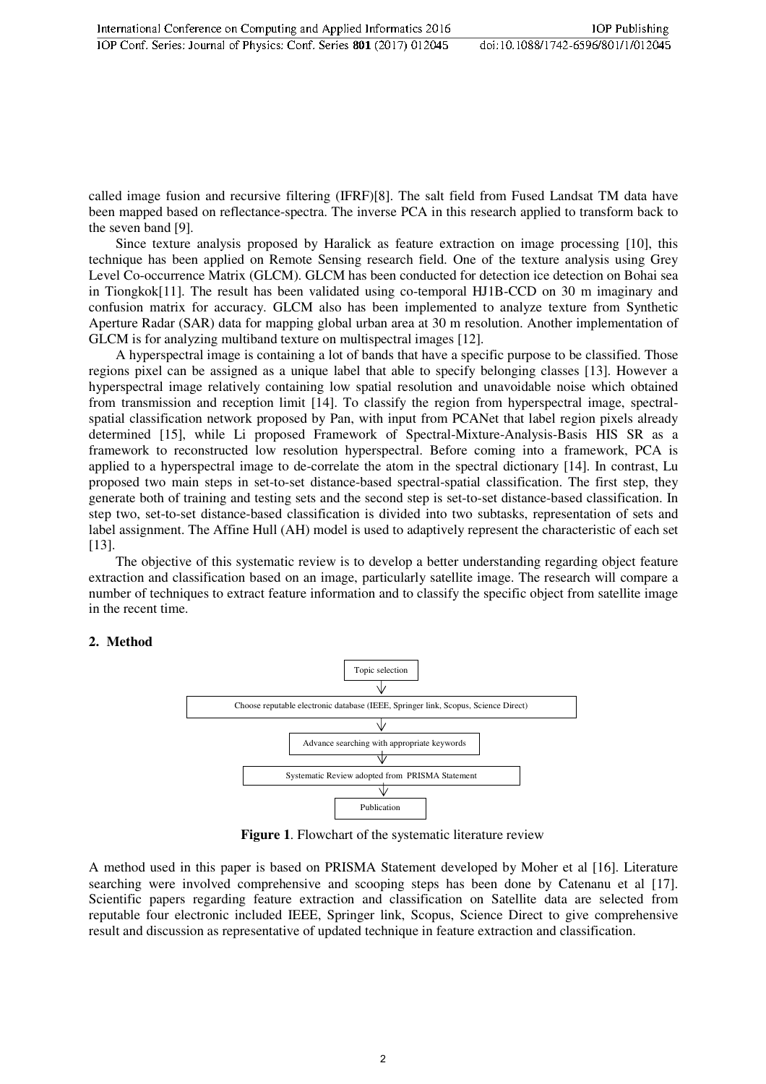called image fusion and recursive filtering (IFRF)[8]. The salt field from Fused Landsat TM data have been mapped based on reflectance-spectra. The inverse PCA in this research applied to transform back to the seven band [9].

 Since texture analysis proposed by Haralick as feature extraction on image processing [10], this technique has been applied on Remote Sensing research field. One of the texture analysis using Grey Level Co-occurrence Matrix (GLCM). GLCM has been conducted for detection ice detection on Bohai sea in Tiongkok[11]. The result has been validated using co-temporal HJ1B-CCD on 30 m imaginary and confusion matrix for accuracy. GLCM also has been implemented to analyze texture from Synthetic Aperture Radar (SAR) data for mapping global urban area at 30 m resolution. Another implementation of GLCM is for analyzing multiband texture on multispectral images [12].

 A hyperspectral image is containing a lot of bands that have a specific purpose to be classified. Those regions pixel can be assigned as a unique label that able to specify belonging classes [13]. However a hyperspectral image relatively containing low spatial resolution and unavoidable noise which obtained from transmission and reception limit [14]. To classify the region from hyperspectral image, spectralspatial classification network proposed by Pan, with input from PCANet that label region pixels already determined [15], while Li proposed Framework of Spectral-Mixture-Analysis-Basis HIS SR as a framework to reconstructed low resolution hyperspectral. Before coming into a framework, PCA is applied to a hyperspectral image to de-correlate the atom in the spectral dictionary [14]. In contrast, Lu proposed two main steps in set-to-set distance-based spectral-spatial classification. The first step, they generate both of training and testing sets and the second step is set-to-set distance-based classification. In step two, set-to-set distance-based classification is divided into two subtasks, representation of sets and label assignment. The Affine Hull (AH) model is used to adaptively represent the characteristic of each set [13].

 The objective of this systematic review is to develop a better understanding regarding object feature extraction and classification based on an image, particularly satellite image. The research will compare a number of techniques to extract feature information and to classify the specific object from satellite image in the recent time.

## **2. Method**



**Figure 1**. Flowchart of the systematic literature review

A method used in this paper is based on PRISMA Statement developed by Moher et al [16]. Literature searching were involved comprehensive and scooping steps has been done by Catenanu et al [17]. Scientific papers regarding feature extraction and classification on Satellite data are selected from reputable four electronic included IEEE, Springer link, Scopus, Science Direct to give comprehensive result and discussion as representative of updated technique in feature extraction and classification.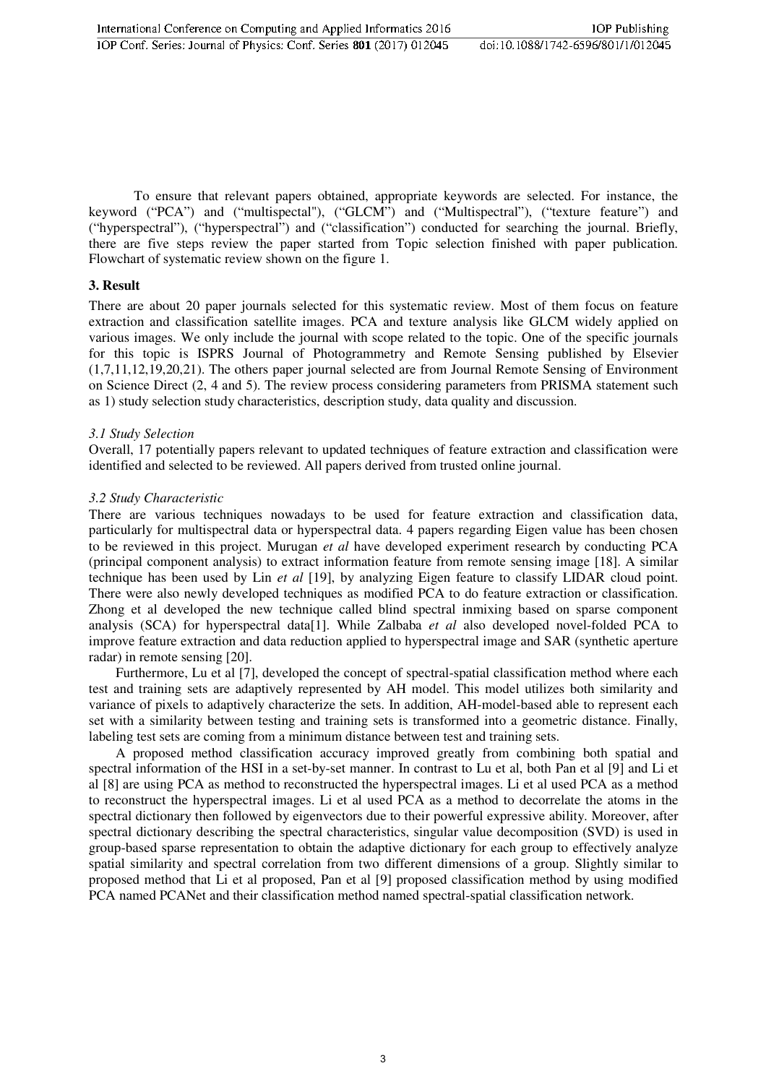To ensure that relevant papers obtained, appropriate keywords are selected. For instance, the keyword ("PCA") and ("multispectal"), ("GLCM") and ("Multispectral"), ("texture feature") and ("hyperspectral"), ("hyperspectral") and ("classification") conducted for searching the journal. Briefly, there are five steps review the paper started from Topic selection finished with paper publication. Flowchart of systematic review shown on the figure 1.

### **3. Result**

There are about 20 paper journals selected for this systematic review. Most of them focus on feature extraction and classification satellite images. PCA and texture analysis like GLCM widely applied on various images. We only include the journal with scope related to the topic. One of the specific journals for this topic is ISPRS Journal of Photogrammetry and Remote Sensing published by Elsevier (1,7,11,12,19,20,21). The others paper journal selected are from Journal Remote Sensing of Environment on Science Direct (2, 4 and 5). The review process considering parameters from PRISMA statement such as 1) study selection study characteristics, description study, data quality and discussion.

### *3.1 Study Selection*

Overall, 17 potentially papers relevant to updated techniques of feature extraction and classification were identified and selected to be reviewed. All papers derived from trusted online journal.

### *3.2 Study Characteristic*

There are various techniques nowadays to be used for feature extraction and classification data, particularly for multispectral data or hyperspectral data. 4 papers regarding Eigen value has been chosen to be reviewed in this project. Murugan *et al* have developed experiment research by conducting PCA (principal component analysis) to extract information feature from remote sensing image [18]. A similar technique has been used by Lin *et al* [19], by analyzing Eigen feature to classify LIDAR cloud point. There were also newly developed techniques as modified PCA to do feature extraction or classification. Zhong et al developed the new technique called blind spectral inmixing based on sparse component analysis (SCA) for hyperspectral data[1]. While Zalbaba *et al* also developed novel-folded PCA to improve feature extraction and data reduction applied to hyperspectral image and SAR (synthetic aperture radar) in remote sensing [20].

 Furthermore, Lu et al [7], developed the concept of spectral-spatial classification method where each test and training sets are adaptively represented by AH model. This model utilizes both similarity and variance of pixels to adaptively characterize the sets. In addition, AH-model-based able to represent each set with a similarity between testing and training sets is transformed into a geometric distance. Finally, labeling test sets are coming from a minimum distance between test and training sets.

 A proposed method classification accuracy improved greatly from combining both spatial and spectral information of the HSI in a set-by-set manner. In contrast to Lu et al, both Pan et al [9] and Li et al [8] are using PCA as method to reconstructed the hyperspectral images. Li et al used PCA as a method to reconstruct the hyperspectral images. Li et al used PCA as a method to decorrelate the atoms in the spectral dictionary then followed by eigenvectors due to their powerful expressive ability. Moreover, after spectral dictionary describing the spectral characteristics, singular value decomposition (SVD) is used in group-based sparse representation to obtain the adaptive dictionary for each group to effectively analyze spatial similarity and spectral correlation from two different dimensions of a group. Slightly similar to proposed method that Li et al proposed, Pan et al [9] proposed classification method by using modified PCA named PCANet and their classification method named spectral-spatial classification network.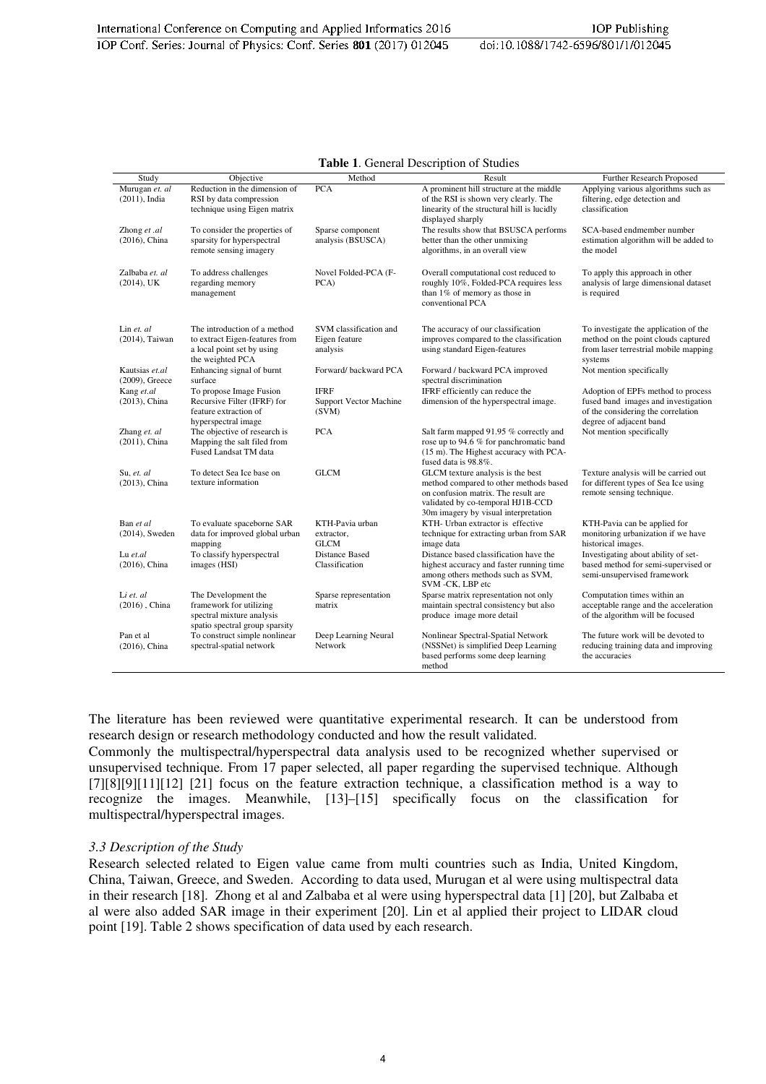| Table 1. General Description of Studies |  |
|-----------------------------------------|--|
|                                         |  |

| Study             | Objective                                      | Method                 | Result                                                                          | Further Research Proposed                                            |
|-------------------|------------------------------------------------|------------------------|---------------------------------------------------------------------------------|----------------------------------------------------------------------|
| Murugan et. al    | Reduction in the dimension of                  | <b>PCA</b>             | A prominent hill structure at the middle                                        | Applying various algorithms such as                                  |
| $(2011)$ , India  | RSI by data compression                        |                        | of the RSI is shown very clearly. The                                           | filtering, edge detection and                                        |
|                   | technique using Eigen matrix                   |                        | linearity of the structural hill is lucidly                                     | classification                                                       |
|                   |                                                |                        | displayed sharply                                                               |                                                                      |
| Zhong et .al      | To consider the properties of                  | Sparse component       | The results show that BSUSCA performs                                           | SCA-based endmember number                                           |
| $(2016)$ , China  | sparsity for hyperspectral                     | analysis (BSUSCA)      | better than the other unmixing                                                  | estimation algorithm will be added to                                |
|                   | remote sensing imagery                         |                        | algorithms, in an overall view                                                  | the model                                                            |
|                   |                                                |                        |                                                                                 |                                                                      |
| Zalbaba et. al    | To address challenges                          | Novel Folded-PCA (F-   | Overall computational cost reduced to                                           | To apply this approach in other                                      |
| $(2014)$ , UK     | regarding memory                               | PCA)                   | roughly 10%, Folded-PCA requires less                                           | analysis of large dimensional dataset                                |
|                   | management                                     |                        | than 1% of memory as those in                                                   | is required                                                          |
|                   |                                                |                        | conventional PCA                                                                |                                                                      |
|                   |                                                |                        |                                                                                 |                                                                      |
| Lin et. al        | The introduction of a method                   | SVM classification and | The accuracy of our classification                                              | To investigate the application of the                                |
| (2014), Taiwan    | to extract Eigen-features from                 | Eigen feature          | improves compared to the classification                                         | method on the point clouds captured                                  |
|                   | a local point set by using                     | analysis               | using standard Eigen-features                                                   | from laser terrestrial mobile mapping                                |
|                   | the weighted PCA                               |                        |                                                                                 | systems                                                              |
| Kautsias et.al    | Enhancing signal of burnt                      | Forward/backward PCA   | Forward / backward PCA improved                                                 | Not mention specifically                                             |
| $(2009)$ , Greece | surface                                        |                        | spectral discrimination                                                         |                                                                      |
| Kang et.al        | To propose Image Fusion                        | <b>IFRF</b>            | IFRF efficiently can reduce the                                                 | Adoption of EPFs method to process                                   |
| $(2013)$ , China  | Recursive Filter (IFRF) for                    | Support Vector Machine | dimension of the hyperspectral image.                                           | fused band images and investigation                                  |
|                   | feature extraction of                          | (SVM)                  |                                                                                 | of the considering the correlation                                   |
|                   | hyperspectral image                            |                        |                                                                                 | degree of adjacent band                                              |
| Zhang et. al      | The objective of research is                   | <b>PCA</b>             | Salt farm mapped 91.95 % correctly and                                          | Not mention specifically                                             |
| $(2011)$ , China  | Mapping the salt filed from                    |                        | rose up to 94.6 % for panchromatic band                                         |                                                                      |
|                   | Fused Landsat TM data                          |                        | (15 m). The Highest accuracy with PCA-                                          |                                                                      |
|                   |                                                |                        | fused data is 98.8%.                                                            |                                                                      |
| Su, et. al        | To detect Sea Ice base on                      | <b>GLCM</b>            | GLCM texture analysis is the best                                               | Texture analysis will be carried out                                 |
| (2013), China     | texture information                            |                        | method compared to other methods based                                          | for different types of Sea Ice using                                 |
|                   |                                                |                        | on confusion matrix. The result are                                             | remote sensing technique.                                            |
|                   |                                                |                        | validated by co-temporal HJ1B-CCD                                               |                                                                      |
|                   |                                                |                        | 30m imagery by visual interpretation                                            |                                                                      |
| Ban et al         | To evaluate spaceborne SAR                     | KTH-Pavia urban        | KTH- Urban extractor is effective                                               | KTH-Pavia can be applied for                                         |
| $(2014)$ , Sweden | data for improved global urban                 | extractor,             | technique for extracting urban from SAR                                         | monitoring urbanization if we have                                   |
|                   | mapping                                        | <b>GLCM</b>            | image data                                                                      | historical images.                                                   |
| Lu $et$ .al       | To classify hyperspectral                      | <b>Distance Based</b>  | Distance based classification have the                                          | Investigating about ability of set-                                  |
| $(2016)$ , China  | images (HSI)                                   | Classification         | highest accuracy and faster running time                                        | based method for semi-supervised or                                  |
|                   |                                                |                        | among others methods such as SVM,                                               | semi-unsupervised framework                                          |
|                   |                                                | Sparse representation  | SVM-CK, LBP etc                                                                 |                                                                      |
| Li et. al         | The Development the<br>framework for utilizing | matrix                 | Sparse matrix representation not only<br>maintain spectral consistency but also | Computation times within an<br>acceptable range and the acceleration |
| $(2016)$ , China  | spectral mixture analysis                      |                        | produce image more detail                                                       | of the algorithm will be focused                                     |
|                   | spatio spectral group sparsity                 |                        |                                                                                 |                                                                      |
| Pan et al         | To construct simple nonlinear                  | Deep Learning Neural   | Nonlinear Spectral-Spatial Network                                              | The future work will be devoted to                                   |
| $(2016)$ , China  | spectral-spatial network                       | Network                | (NSSNet) is simplified Deep Learning                                            | reducing training data and improving                                 |
|                   |                                                |                        | based performs some deep learning                                               | the accuracies                                                       |
|                   |                                                |                        | method                                                                          |                                                                      |

The literature has been reviewed were quantitative experimental research. It can be understood from research design or research methodology conducted and how the result validated.

Commonly the multispectral/hyperspectral data analysis used to be recognized whether supervised or unsupervised technique. From 17 paper selected, all paper regarding the supervised technique. Although [7][8][9][11][12] [21] focus on the feature extraction technique, a classification method is a way to recognize the images. Meanwhile, [13]–[15] specifically focus on the classification for multispectral/hyperspectral images.

#### *3.3 Description of the Study*

Research selected related to Eigen value came from multi countries such as India, United Kingdom, China, Taiwan, Greece, and Sweden. According to data used, Murugan et al were using multispectral data in their research [18]. Zhong et al and Zalbaba et al were using hyperspectral data [1] [20], but Zalbaba et al were also added SAR image in their experiment [20]. Lin et al applied their project to LIDAR cloud point [19]. Table 2 shows specification of data used by each research.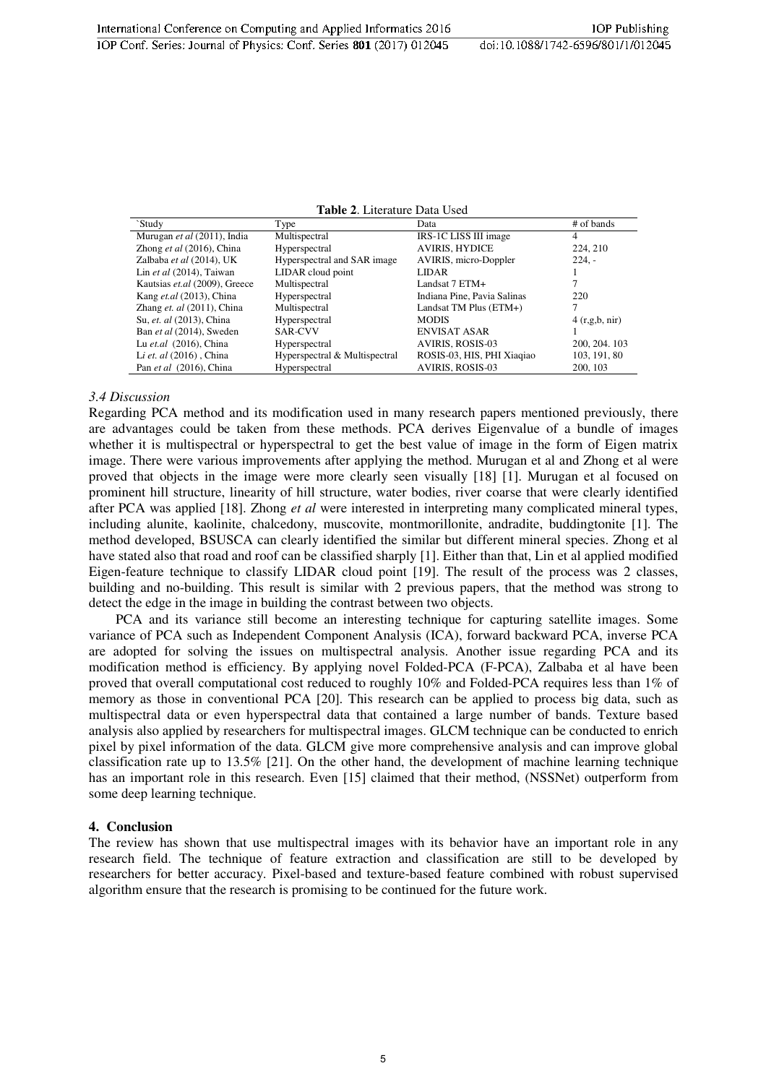**Table 2**. Literature Data Used

| `Study                        | Type                          | Data                        | # of bands      |
|-------------------------------|-------------------------------|-----------------------------|-----------------|
| Murugan et al (2011), India   | Multispectral                 | IRS-1C LISS III image       | 4               |
| Zhong et al $(2016)$ , China  | Hyperspectral                 | <b>AVIRIS, HYDICE</b>       | 224, 210        |
| Zalbaba et al (2014), UK      | Hyperspectral and SAR image   | AVIRIS, micro-Doppler       | $224. -$        |
| Lin et al $(2014)$ , Taiwan   | LIDAR cloud point             | <b>LIDAR</b>                |                 |
| Kautsias et.al (2009), Greece | Multispectral                 | Landsat 7 ETM+              |                 |
| Kang et.al (2013), China      | Hyperspectral                 | Indiana Pine, Pavia Salinas | 220             |
| Zhang et. $al$ (2011), China  | Multispectral                 | Landsat TM Plus (ETM+)      |                 |
| Su, et. al (2013), China      | Hyperspectral                 | <b>MODIS</b>                | 4(r, g, b, nir) |
| Ban et al (2014), Sweden      | <b>SAR-CVV</b>                | <b>ENVISAT ASAR</b>         |                 |
| Lu et.al (2016), China        | Hyperspectral                 | <b>AVIRIS, ROSIS-03</b>     | 200, 204, 103   |
| Li et. al (2016), China       | Hyperspectral & Multispectral | ROSIS-03, HIS, PHI Xiaqiao  | 103, 191, 80    |
| Pan et al (2016), China       | Hyperspectral                 | <b>AVIRIS, ROSIS-03</b>     | 200, 103        |

#### *3.4 Discussion*

Regarding PCA method and its modification used in many research papers mentioned previously, there are advantages could be taken from these methods. PCA derives Eigenvalue of a bundle of images whether it is multispectral or hyperspectral to get the best value of image in the form of Eigen matrix image. There were various improvements after applying the method. Murugan et al and Zhong et al were proved that objects in the image were more clearly seen visually [18] [1]. Murugan et al focused on prominent hill structure, linearity of hill structure, water bodies, river coarse that were clearly identified after PCA was applied [18]. Zhong *et al* were interested in interpreting many complicated mineral types, including alunite, kaolinite, chalcedony, muscovite, montmorillonite, andradite, buddingtonite [1]. The method developed, BSUSCA can clearly identified the similar but different mineral species. Zhong et al have stated also that road and roof can be classified sharply [1]. Either than that, Lin et al applied modified Eigen-feature technique to classify LIDAR cloud point [19]. The result of the process was 2 classes, building and no-building. This result is similar with 2 previous papers, that the method was strong to detect the edge in the image in building the contrast between two objects.

 PCA and its variance still become an interesting technique for capturing satellite images. Some variance of PCA such as Independent Component Analysis (ICA), forward backward PCA, inverse PCA are adopted for solving the issues on multispectral analysis. Another issue regarding PCA and its modification method is efficiency. By applying novel Folded-PCA (F-PCA), Zalbaba et al have been proved that overall computational cost reduced to roughly 10% and Folded-PCA requires less than 1% of memory as those in conventional PCA [20]. This research can be applied to process big data, such as multispectral data or even hyperspectral data that contained a large number of bands. Texture based analysis also applied by researchers for multispectral images. GLCM technique can be conducted to enrich pixel by pixel information of the data. GLCM give more comprehensive analysis and can improve global classification rate up to 13.5% [21]. On the other hand, the development of machine learning technique has an important role in this research. Even [15] claimed that their method, (NSSNet) outperform from some deep learning technique.

#### **4. Conclusion**

The review has shown that use multispectral images with its behavior have an important role in any research field. The technique of feature extraction and classification are still to be developed by researchers for better accuracy. Pixel-based and texture-based feature combined with robust supervised algorithm ensure that the research is promising to be continued for the future work.